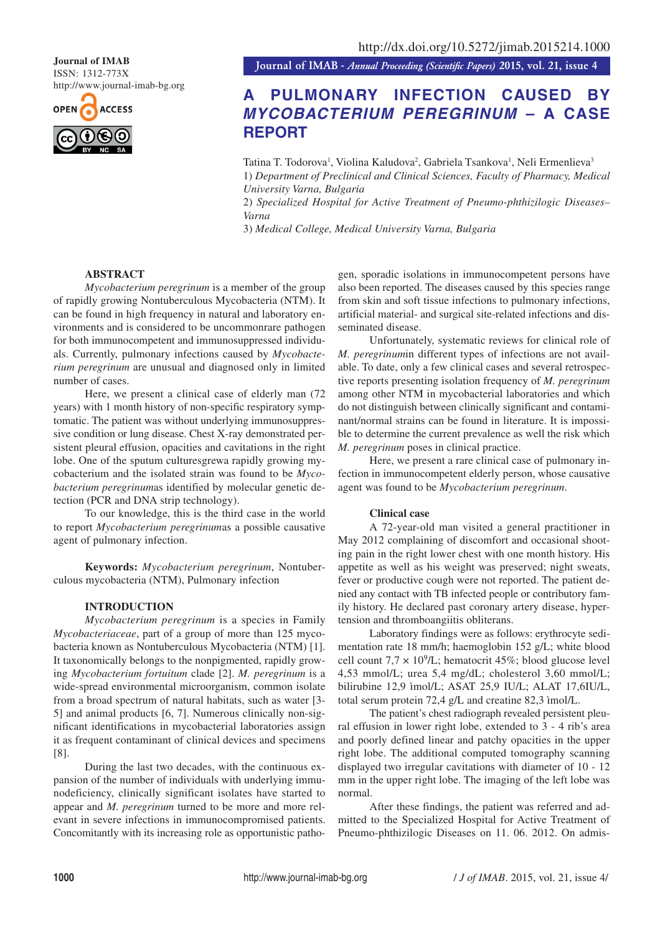ISSN: 1312-773X http://www.journal-imab-bg.org



**Journal of IMAB**<br>**Journal of IMAB** - *Annual Proceeding (Scientific Papers)* 2015, vol. 21, issue 4

# **A PULMONARY INFECTION CAUSED BY** *MYCOBACTERIUM PEREGRINUM* **– A CASE REPORT**

Tatina T. Todorova<sup>1</sup>, Violina Kaludova<sup>2</sup>, Gabriela Tsankova<sup>1</sup>, Neli Ermenlieva<sup>3</sup> 1) *Department of Preclinical and Clinical Sciences, Faculty of Pharmacy, Medical University Varna, Bulgaria*

2) *Specialized Hospital for Active Treatment of Pneumo-phthizilogic Diseases– Varna*

3) *Medical College, Medical University Varna, Bulgaria*

## **ABSTRACT**

*Mycobacterium peregrinum* is a member of the group of rapidly growing Nontuberculous Mycobacteria (NTM). It can be found in high frequency in natural and laboratory environments and is considered to be uncommonrare pathogen for both immunocompetent and immunosuppressed individuals. Currently, pulmonary infections caused by *Mycobacterium peregrinum* are unusual and diagnosed only in limited number of cases.

Here, we present a clinical case of elderly man (72 years) with 1 month history of non-specific respiratory symptomatic. The patient was without underlying immunosuppressive condition or lung disease. Chest X-ray demonstrated persistent pleural effusion, opacities and cavitations in the right lobe. One of the sputum culturesgrewa rapidly growing mycobacterium and the isolated strain was found to be *Mycobacterium peregrinum*as identified by molecular genetic detection (PCR and DNA strip technology).

To our knowledge, this is the third case in the world to report *Mycobacterium peregrinum*as a possible causative agent of pulmonary infection.

**Keywords:** *Mycobacterium peregrinum*, Nontuberculous mycobacteria (NTM), Pulmonary infection

### **INTRODUCTION**

*Mycobacterium peregrinum* is a species in Family *Mycobacteriaceae*, part of a group of more than 125 mycobacteria known as Nontuberculous Mycobacteria (NTM) [1]. It taxonomically belongs to the nonpigmented, rapidly growing *Mycobacterium fortuitum* clade [2]. *M. peregrinum* is a wide-spread environmental microorganism, common isolate from a broad spectrum of natural habitats, such as water [3- 5] and animal products [6, 7]. Numerous clinically non-significant identifications in mycobacterial laboratories assign it as frequent contaminant of clinical devices and specimens [8].

During the last two decades, with the continuous expansion of the number of individuals with underlying immunodeficiency, clinically significant isolates have started to appear and *M. peregrinum* turned to be more and more relevant in severe infections in immunocompromised patients. Concomitantly with its increasing role as opportunistic patho-

gen, sporadic isolations in immunocompetent persons have also been reported. The diseases caused by this species range from skin and soft tissue infections to pulmonary infections, artificial material- and surgical site-related infections and disseminated disease.

Unfortunately, systematic reviews for clinical role of *M. peregrinum*in different types of infections are not available. To date, only a few clinical cases and several retrospective reports presenting isolation frequency of *M. peregrinum* among other NTM in mycobacterial laboratories and which do not distinguish between clinically significant and contaminant/normal strains can be found in literature. It is impossible to determine the current prevalence as well the risk which *M. peregrinum* poses in clinical practice.

Here, we present a rare clinical case of pulmonary infection in immunocompetent elderly person, whose causative agent was found to be *Mycobacterium peregrinum*.

#### **Clinical case**

A 72-year-old man visited a general practitioner in May 2012 complaining of discomfort and occasional shooting pain in the right lower chest with one month history. His appetite as well as his weight was preserved; night sweats, fever or productive cough were not reported. The patient denied any contact with TB infected people or contributory family history. He declared past coronary artery disease, hypertension and thromboangiitis obliterans.

Laboratory findings were as follows: erythrocyte sedimentation rate 18 mm/h; haemoglobin 152 g/L; white blood cell count  $7.7 \times 10^9$ /L; hematocrit 45%; blood glucose level 4,53 mmol/L; urea 5,4 mg/dL; cholesterol 3,60 mmol/L; bilirubine 12,9 ìmol/L; ASAT 25,9 IU/L; ALAT 17,6IU/L, total serum protein 72,4 g/L and creatine 82,3 ìmol/L.

The patient's chest radiograph revealed persistent pleural effusion in lower right lobe, extended to 3 - 4 rib's area and poorly defined linear and patchy opacities in the upper right lobe. The additional computed tomography scanning displayed two irregular cavitations with diameter of 10 - 12 mm in the upper right lobe. The imaging of the left lobe was normal.

After these findings, the patient was referred and admitted to the Specialized Hospital for Active Treatment of Pneumo-phthizilogic Diseases on 11. 06. 2012. On admis-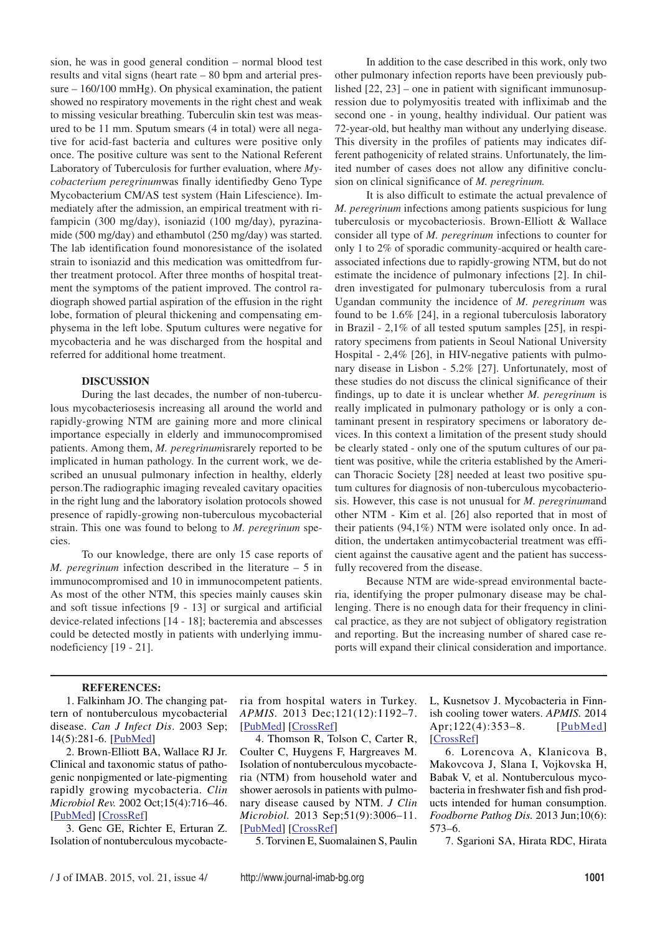sion, he was in good general condition – normal blood test results and vital signs (heart rate – 80 bpm and arterial pressure – 160/100 mmHg). On physical examination, the patient showed no respiratory movements in the right chest and weak to missing vesicular breathing. Tuberculin skin test was measured to be 11 mm. Sputum smears (4 in total) were all negative for acid-fast bacteria and cultures were positive only once. The positive culture was sent to the National Referent Laboratory of Tuberculosis for further evaluation, where *Mycobacterium peregrinum*was finally identifiedby Geno Type Mycobacterium CM/AS test system (Hain Lifescience). Immediately after the admission, an empirical treatment with rifampicin (300 mg/day), isoniazid (100 mg/day), pyrazinamide (500 mg/day) and ethambutol (250 mg/day) was started. The lab identification found monoresistance of the isolated strain to isoniazid and this medication was omittedfrom further treatment protocol. After three months of hospital treatment the symptoms of the patient improved. The control radiograph showed partial aspiration of the effusion in the right lobe, formation of pleural thickening and compensating emphysema in the left lobe. Sputum cultures were negative for mycobacteria and he was discharged from the hospital and referred for additional home treatment.

#### **DISCUSSION**

During the last decades, the number of non-tuberculous mycobacteriosesis increasing all around the world and rapidly-growing NTM are gaining more and more clinical importance especially in elderly and immunocompromised patients. Among them, *M. peregrinum*israrely reported to be implicated in human pathology. In the current work, we described an unusual pulmonary infection in healthy, elderly person.The radiographic imaging revealed cavitary opacities in the right lung and the laboratory isolation protocols showed presence of rapidly-growing non-tuberculous mycobacterial strain. This one was found to belong to *M. peregrinum* species.

To our knowledge, there are only 15 case reports of *M. peregrinum* infection described in the literature – 5 in immunocompromised and 10 in immunocompetent patients. As most of the other NTM, this species mainly causes skin and soft tissue infections [9 - 13] or surgical and artificial device-related infections [14 - 18]; bacteremia and abscesses could be detected mostly in patients with underlying immunodeficiency [19 - 21].

In addition to the case described in this work, only two other pulmonary infection reports have been previously published [22, 23] – one in patient with significant immunosupression due to polymyositis treated with infliximab and the second one - in young, healthy individual. Our patient was 72-year-old, but healthy man without any underlying disease. This diversity in the profiles of patients may indicates different pathogenicity of related strains. Unfortunately, the limited number of cases does not allow any difinitive conclusion on clinical significance of *M. peregrinum.*

It is also difficult to estimate the actual prevalence of *M. peregrinum* infections among patients suspicious for lung tuberculosis or mycobacteriosis. Brown-Elliott & Wallace consider all type of *M. peregrinum* infections to counter for only 1 to 2% of sporadic community-acquired or health careassociated infections due to rapidly-growing NTM, but do not estimate the incidence of pulmonary infections [2]. In children investigated for pulmonary tuberculosis from a rural Ugandan community the incidence of *M. peregrinum* was found to be 1.6% [24], in a regional tuberculosis laboratory in Brazil - 2,1% of all tested sputum samples [25], in respiratory specimens from patients in Seoul National University Hospital - 2,4% [26], in HIV-negative patients with pulmonary disease in Lisbon - 5.2% [27]. Unfortunately, most of these studies do not discuss the clinical significance of their findings, up to date it is unclear whether *M. peregrinum* is really implicated in pulmonary pathology or is only a contaminant present in respiratory specimens or laboratory devices. In this context a limitation of the present study should be clearly stated - only one of the sputum cultures of our patient was positive, while the criteria established by the American Thoracic Society [28] needed at least two positive sputum cultures for diagnosis of non-tuberculous mycobacteriosis. However, this case is not unusual for *M. peregrinum*and other NTM - Kim et al. [26] also reported that in most of their patients (94,1%) NTM were isolated only once. In addition, the undertaken antimycobacterial treatment was efficient against the causative agent and the patient has successfully recovered from the disease.

Because NTM are wide-spread environmental bacteria, identifying the proper pulmonary disease may be challenging. There is no enough data for their frequency in clinical practice, as they are not subject of obligatory registration and reporting. But the increasing number of shared case reports will expand their clinical consideration and importance.

#### **REFERENCES:**

1. Falkinham JO. The changing pattern of nontuberculous mycobacterial disease. *Can J Infect Dis*. 2003 Sep; 14(5):281-6. [PubMed]

2. Brown-Elliott BA, Wallace RJ Jr. Clinical and taxonomic status of pathogenic nonpigmented or late-pigmenting rapidly growing mycobacteria. *Clin Microbiol Rev.* 2002 Oct;15(4):716–46. [PubMed] [CrossRef]

3. Genc GE, Richter E, Erturan Z. Isolation of nontuberculous mycobacte-

ria from hospital waters in Turkey. *APMIS.* 2013 Dec;121(12):1192–7. [PubMed] [CrossRef]

4. Thomson R, Tolson C, Carter R, Coulter C, Huygens F, Hargreaves M. Isolation of nontuberculous mycobacteria (NTM) from household water and shower aerosols in patients with pulmonary disease caused by NTM. *J Clin Microbiol.* 2013 Sep;51(9):3006–11. [PubMed] [CrossRef]

5. Torvinen E, Suomalainen S, Paulin

L, Kusnetsov J. Mycobacteria in Finnish cooling tower waters. *APMIS.* 2014 Apr;122(4):353-8. [PubMed] [CrossRef]

6. Lorencova A, Klanicova B, Makovcova J, Slana I, Vojkovska H, Babak V, et al. Nontuberculous mycobacteria in freshwater fish and fish products intended for human consumption. *Foodborne Pathog Dis.* 2013 Jun;10(6): 573–6.

7. Sgarioni SA, Hirata RDC, Hirata